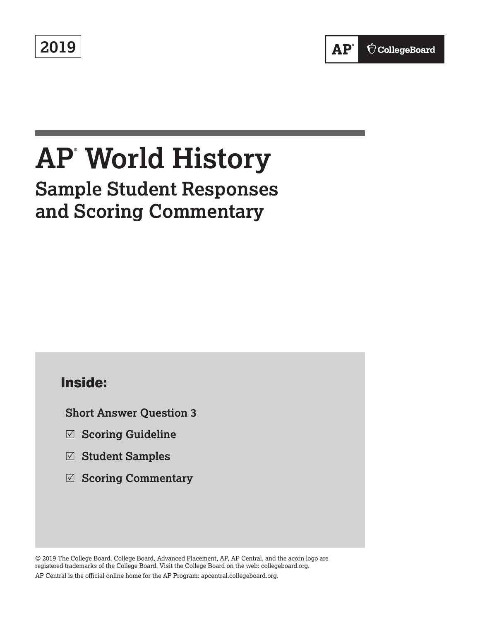**2019**

# **AP® World History Sample Student Responses and Scoring Commentary**

# **Inside:**

**Short Answer Question 3**

- R **Scoring Guideline**
- R **Student Samples**
- R **Scoring Commentary**

© 2019 The College Board. College Board, Advanced Placement, AP, AP Central, and the acorn logo are registered trademarks of the College Board. Visit the College Board on the web: collegeboard.org. AP Central is the official online home for the AP Program: apcentral.collegeboard.org.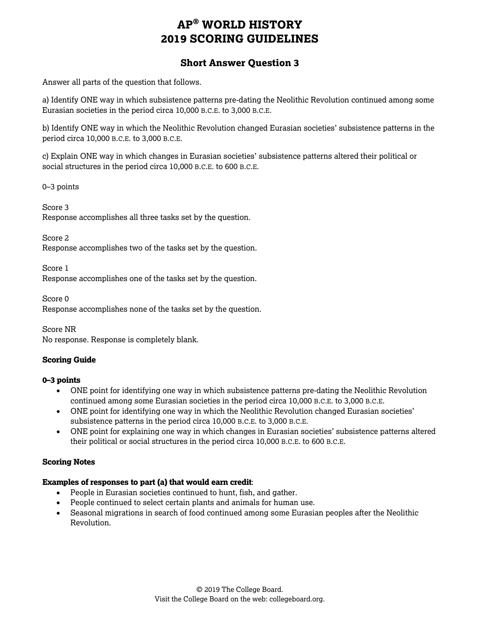## **AP® WORLD HISTORY 2019 SCORING GUIDELINES**

## **Short Answer Question 3**

Answer all parts of the question that follows.

a) Identify ONE way in which subsistence patterns pre-dating the Neolithic Revolution continued among some Eurasian societies in the period circa 10,000 B.C.E. to 3,000 B.C.E.

b) Identify ONE way in which the Neolithic Revolution changed Eurasian societies' subsistence patterns in the period circa 10,000 B.C.E. to 3,000 B.C.E.

c) Explain ONE way in which changes in Eurasian societies' subsistence patterns altered their political or social structures in the period circa 10,000 B.C.E. to 600 B.C.E.

0–3 points

Score 3 Response accomplishes all three tasks set by the question.

Score 2 Response accomplishes two of the tasks set by the question.

Score 1

Response accomplishes one of the tasks set by the question.

Score 0

Response accomplishes none of the tasks set by the question.

Score NR No response. Response is completely blank.

#### **Scoring Guide**

#### **0–3 points**

- ONE point for identifying one way in which subsistence patterns pre-dating the Neolithic Revolution continued among some Eurasian societies in the period circa 10,000 B.C.E. to 3,000 B.C.E.
- ONE point for identifying one way in which the Neolithic Revolution changed Eurasian societies' subsistence patterns in the period circa 10,000 B.C.E. to 3,000 B.C.E.
- ONE point for explaining one way in which changes in Eurasian societies' subsistence patterns altered their political or social structures in the period circa 10,000 B.C.E. to 600 B.C.E.

#### **Scoring Notes**

#### **Examples of responses to part (a) that would earn credit**:

- People in Eurasian societies continued to hunt, fish, and gather.
- People continued to select certain plants and animals for human use.
- Seasonal migrations in search of food continued among some Eurasian peoples after the Neolithic Revolution.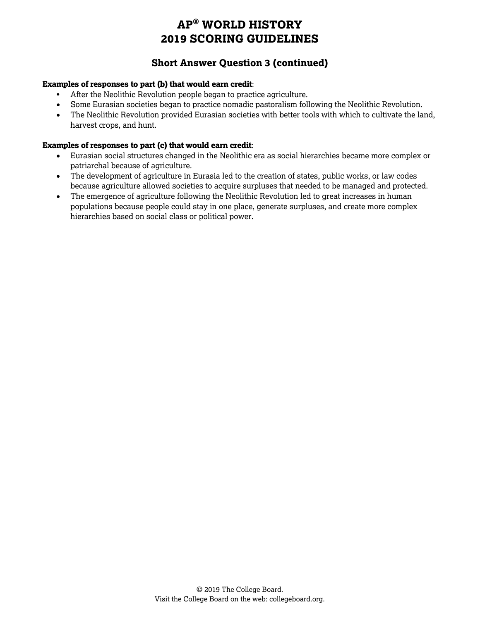# **AP® WORLD HISTORY 2019 SCORING GUIDELINES**

## **Short Answer Question 3 (continued)**

#### **Examples of responses to part (b) that would earn credit**:

- After the Neolithic Revolution people began to practice agriculture.
- Some Eurasian societies began to practice nomadic pastoralism following the Neolithic Revolution.
- The Neolithic Revolution provided Eurasian societies with better tools with which to cultivate the land, harvest crops, and hunt.

#### **Examples of responses to part (c) that would earn credit**:

- Eurasian social structures changed in the Neolithic era as social hierarchies became more complex or patriarchal because of agriculture.
- The development of agriculture in Eurasia led to the creation of states, public works, or law codes because agriculture allowed societies to acquire surpluses that needed to be managed and protected.
- The emergence of agriculture following the Neolithic Revolution led to great increases in human populations because people could stay in one place, generate surpluses, and create more complex hierarchies based on social class or political power.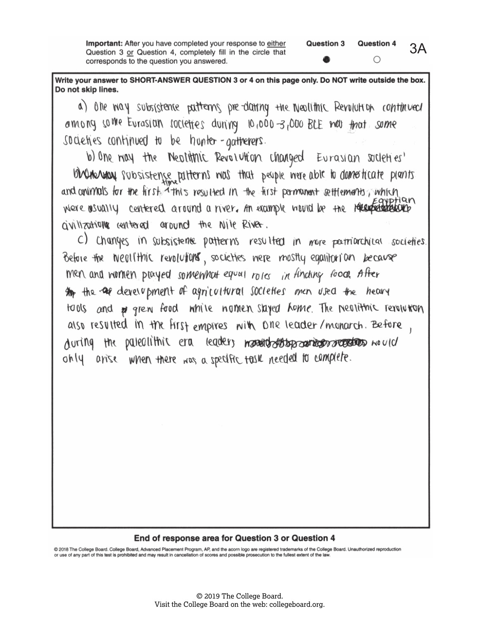Important: After you have completed your response to either Question 3 or Question 4, completely fill in the circle that corresponds to the question you answered.

Write your answer to SHORT-ANSWER QUESTION 3 or 4 on this page only. Do NOT write outside the box. Do not skip lines.

a) one way subsistence patterns pre-dating the Neallthic Revolution continued among some Eurasian rocieties during 10,000-3,000 BLE mar frat some societies continued to be hunter-gatherers.

b) One noy the Neptitric Revolution changed Eurasian societies' bindmentally subsistence patterns mos that people mere able to domesticate plents and onimals for the first this resulted in the first permanent cettlements, which were asually centered around a niver. An example would be the receptational avillations centered around the Nile River.

C) Changes in subsistence patterns resulted in more pertriarchical societies. Before the Neallthic revolutions, societies nere mostly equitorian because men and women played somewhat equal roles in finding food. After An the are development of agricultural societies men used the heavy tools and po grew food while nomen stayed home. The nealition revolution also resulted in the first empires with one leader/monarch. Before, during the pateolithic era leaders manual destages and accordings moved only arise when there was a specific task needed to complete.

#### End of response area for Question 3 or Question 4

@ 2018 The College Board. College Board, Advanced Placement Program, AP, and the acorn logo are registered trademarks of the College Board. Unauthorized reproduction or use of any part of this test is prohibited and may result in cancellation of scores and possible prosecution to the fullest extent of the law.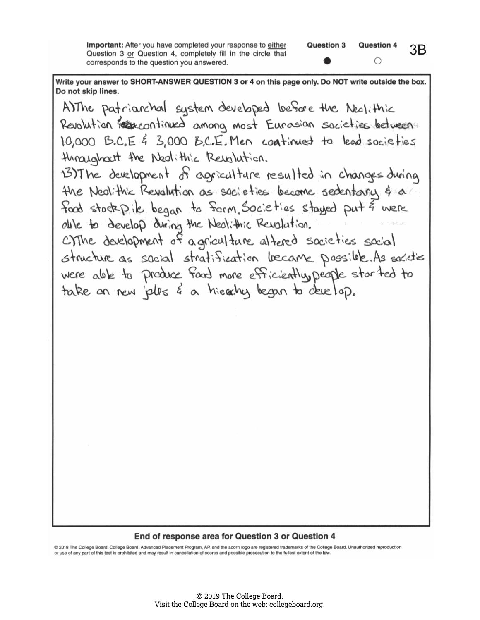**Important:** After you have completed your response to either Question 3 or Question 4, completely fill in the circle that corresponds to the question you answered.

Write your answer to SHORT-ANSWER QUESTION 3 or 4 on this page only. Do NOT write outside the box. Do not skip lines.

A)The patriarchal system developed before the Nealithic Revolution réservantinued among most Eurosian societies between 10,000 B.C.E & 3,000 B.C.E. Men continued to lead societies throughout the Nedlithic Revolution. 13) The development of agriculture resulted in changes during the Nealithic Revalution as sacieties become sedentary & a food stockpik began to form Societies stayed put & were alle to develop during the Neolithic Revolution. CIThe development of agriculture altered societies social structure as social stratification became possible. As societies were alle to produce fand more efficiently, people started to take an new jobs & a hierchy began to develop.

#### End of response area for Question 3 or Question 4

@ 2018 The College Board. College Board, Advanced Placement Program, AP, and the acorn logo are registered trademarks of the College Board. Unauthorized reproduction or use of any part of this test is prohibited and may result in cancellation of scores and possible prosecution to the fullest extent of the law.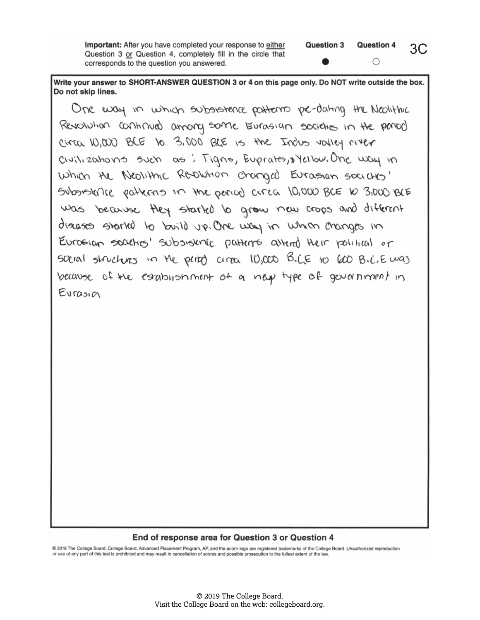**Important:** After you have completed your response to either Question 3 or Question 4, completely fill in the circle that corresponds to the question you answered.

Write your answer to SHORT-ANSWER QUESTION 3 or 4 on this page only. Do NOT write outside the box. Do not skip lines.

One way in which subsistence patterns pe-dating the Neolithic Revolution continued among some Eurosian societies in the period circa 10,000 BLE 10 3,000 BLE is the Indus valley myer civilizations such as : Tigno, Euprates, syellow. One way in Which the Neolithic Revolution changed Eurossian societies' Subsistence patterns in the period area 10,000 BCE to 3,000 BCE was because they started to grow new crops and different diseases started to build up. One way in which changes in Eurosian societies' subsisting patterns altered their political or social structures in the periph circa 10,000 B.C.E to 600 B.C.E was because of the establishment of a next type of government in Eurosin

#### End of response area for Question 3 or Question 4

@ 2018 The College Board. College Board, Advanced Placement Program, AP, and the acorn logo are registered trademarks of the College Board. Unauthorized reproduction or use of any part of this test is prohibited and may result in cancellation of scores and possible prosecution to the fullest extent of the law